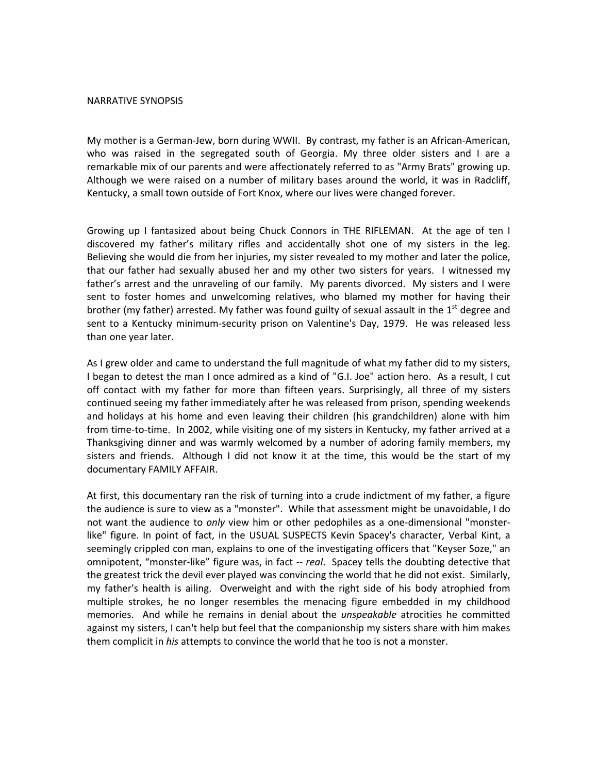## NARRATIVE
SYNOPSIS

My
mother
is
a
German‐Jew,
born
during
WWII.

By
contrast,
my
father
is
an
African‐American, who was raised in the segregated south of Georgia. My three older sisters and I are a remarkable mix of our parents and were affectionately referred to as "Army Brats" growing up. Although we were raised on a number of military bases around the world, it was in Radcliff, Kentucky, a small town outside of Fort Knox, where our lives were changed forever.

Growing up I fantasized about being Chuck Connors in THE RIFLEMAN. At the age of ten I discovered my father's military rifles and accidentally shot one of my sisters in the leg. Believing she would die from her injuries, my sister revealed to my mother and later the police, that our father had sexually abused her and my other two sisters for years. I witnessed my father's arrest and the unraveling of our family. My parents divorced. My sisters and I were sent to foster homes and unwelcoming relatives, who blamed my mother for having their brother (my father) arrested. My father was found guilty of sexual assault in the  $1<sup>st</sup>$  degree and sent to a Kentucky minimum-security prison on Valentine's Day, 1979. He was released less than
one
year
later.

As I grew older and came to understand the full magnitude of what my father did to my sisters, I began to detest the man I once admired as a kind of "G.I. Joe" action hero. As a result, I cut off contact with my father for more than fifteen years. Surprisingly, all three of my sisters continued
seeing
my
father
immediately
after
he
was
released
from
prison,
spending
weekends and holidays at his home and even leaving their children (his grandchildren) alone with him from time-to-time. In 2002, while visiting one of my sisters in Kentucky, my father arrived at a Thanksgiving dinner and was warmly welcomed by a number of adoring family members, my sisters and friends. Although I did not know it at the time, this would be the start of my documentary
FAMILY
AFFAIR.

At first, this documentary ran the risk of turning into a crude indictment of my father, a figure the audience is sure to view as a "monster". While that assessment might be unavoidable, I do not want the audience to *only* view him or other pedophiles as a one-dimensional "monsterlike" figure. In point of fact, in the USUAL SUSPECTS Kevin Spacey's character, Verbal Kint, a seemingly crippled con man, explains to one of the investigating officers that "Keyser Soze," an omnipotent, "monster-like" figure was, in fact -- real. Spacey tells the doubting detective that the greatest trick the devil ever played was convincing the world that he did not exist. Similarly, my father's health is ailing. Overweight and with the right side of his body atrophied from multiple strokes, he no longer resembles the menacing figure embedded in my childhood memories. And while he remains in denial about the *unspeakable* atrocities he committed against my sisters, I can't help but feel that the companionship my sisters share with him makes them complicit in *his* attempts to convince the world that he too is not a monster.